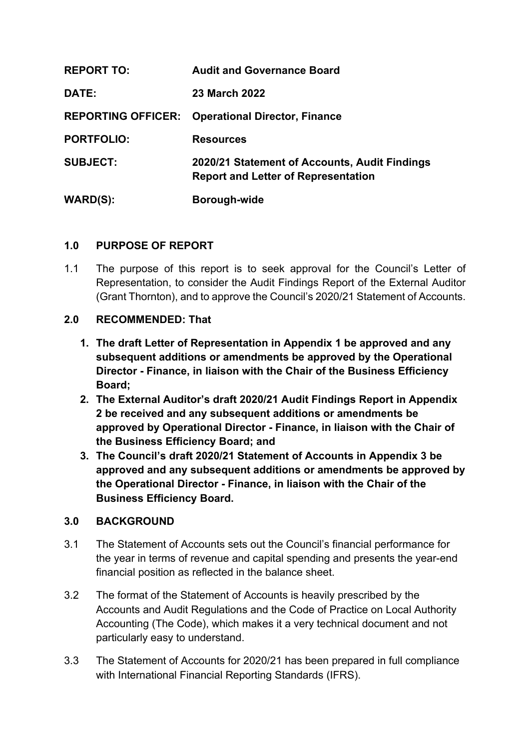| <b>REPORT TO:</b>         | <b>Audit and Governance Board</b>                                                           |
|---------------------------|---------------------------------------------------------------------------------------------|
| DATE:                     | <b>23 March 2022</b>                                                                        |
| <b>REPORTING OFFICER:</b> | <b>Operational Director, Finance</b>                                                        |
| <b>PORTFOLIO:</b>         | <b>Resources</b>                                                                            |
| <b>SUBJECT:</b>           | 2020/21 Statement of Accounts, Audit Findings<br><b>Report and Letter of Representation</b> |
| <b>WARD(S):</b>           | Borough-wide                                                                                |

## **1.0 PURPOSE OF REPORT**

1.1 The purpose of this report is to seek approval for the Council's Letter of Representation, to consider the Audit Findings Report of the External Auditor (Grant Thornton), and to approve the Council's 2020/21 Statement of Accounts.

## **2.0 RECOMMENDED: That**

- **1. The draft Letter of Representation in Appendix 1 be approved and any subsequent additions or amendments be approved by the Operational Director - Finance, in liaison with the Chair of the Business Efficiency Board;**
- **2. The External Auditor's draft 2020/21 Audit Findings Report in Appendix 2 be received and any subsequent additions or amendments be approved by Operational Director - Finance, in liaison with the Chair of the Business Efficiency Board; and**
- **3. The Council's draft 2020/21 Statement of Accounts in Appendix 3 be approved and any subsequent additions or amendments be approved by the Operational Director - Finance, in liaison with the Chair of the Business Efficiency Board.**

## **3.0 BACKGROUND**

- 3.1 The Statement of Accounts sets out the Council's financial performance for the year in terms of revenue and capital spending and presents the year-end financial position as reflected in the balance sheet.
- 3.2 The format of the Statement of Accounts is heavily prescribed by the Accounts and Audit Regulations and the Code of Practice on Local Authority Accounting (The Code), which makes it a very technical document and not particularly easy to understand.
- 3.3 The Statement of Accounts for 2020/21 has been prepared in full compliance with International Financial Reporting Standards (IFRS).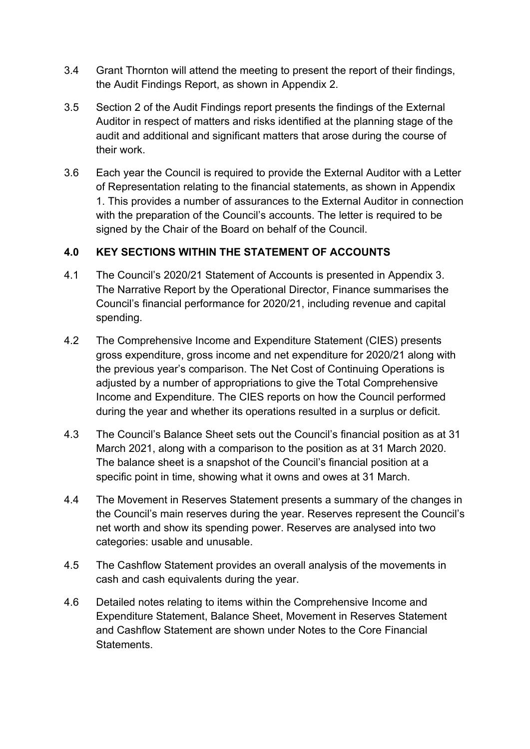- 3.4 Grant Thornton will attend the meeting to present the report of their findings, the Audit Findings Report, as shown in Appendix 2.
- 3.5 Section 2 of the Audit Findings report presents the findings of the External Auditor in respect of matters and risks identified at the planning stage of the audit and additional and significant matters that arose during the course of their work.
- 3.6 Each year the Council is required to provide the External Auditor with a Letter of Representation relating to the financial statements, as shown in Appendix 1. This provides a number of assurances to the External Auditor in connection with the preparation of the Council's accounts. The letter is required to be signed by the Chair of the Board on behalf of the Council.

# **4.0 KEY SECTIONS WITHIN THE STATEMENT OF ACCOUNTS**

- 4.1 The Council's 2020/21 Statement of Accounts is presented in Appendix 3. The Narrative Report by the Operational Director, Finance summarises the Council's financial performance for 2020/21, including revenue and capital spending.
- 4.2 The Comprehensive Income and Expenditure Statement (CIES) presents gross expenditure, gross income and net expenditure for 2020/21 along with the previous year's comparison. The Net Cost of Continuing Operations is adjusted by a number of appropriations to give the Total Comprehensive Income and Expenditure. The CIES reports on how the Council performed during the year and whether its operations resulted in a surplus or deficit.
- 4.3 The Council's Balance Sheet sets out the Council's financial position as at 31 March 2021, along with a comparison to the position as at 31 March 2020. The balance sheet is a snapshot of the Council's financial position at a specific point in time, showing what it owns and owes at 31 March.
- 4.4 The Movement in Reserves Statement presents a summary of the changes in the Council's main reserves during the year. Reserves represent the Council's net worth and show its spending power. Reserves are analysed into two categories: usable and unusable.
- 4.5 The Cashflow Statement provides an overall analysis of the movements in cash and cash equivalents during the year.
- 4.6 Detailed notes relating to items within the Comprehensive Income and Expenditure Statement, Balance Sheet, Movement in Reserves Statement and Cashflow Statement are shown under Notes to the Core Financial **Statements**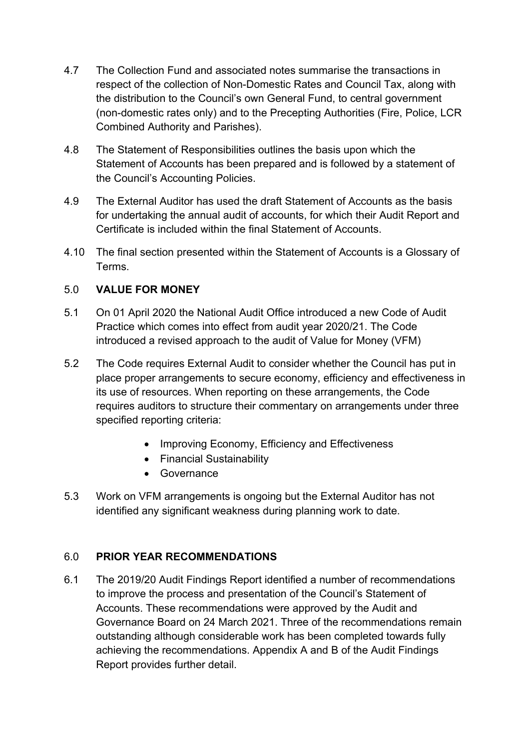- 4.7 The Collection Fund and associated notes summarise the transactions in respect of the collection of Non-Domestic Rates and Council Tax, along with the distribution to the Council's own General Fund, to central government (non-domestic rates only) and to the Precepting Authorities (Fire, Police, LCR Combined Authority and Parishes).
- 4.8 The Statement of Responsibilities outlines the basis upon which the Statement of Accounts has been prepared and is followed by a statement of the Council's Accounting Policies.
- 4.9 The External Auditor has used the draft Statement of Accounts as the basis for undertaking the annual audit of accounts, for which their Audit Report and Certificate is included within the final Statement of Accounts.
- 4.10 The final section presented within the Statement of Accounts is a Glossary of Terms.

# 5.0 **VALUE FOR MONEY**

- 5.1 On 01 April 2020 the National Audit Office introduced a new Code of Audit Practice which comes into effect from audit year 2020/21. The Code introduced a revised approach to the audit of Value for Money (VFM)
- 5.2 The Code requires External Audit to consider whether the Council has put in place proper arrangements to secure economy, efficiency and effectiveness in its use of resources. When reporting on these arrangements, the Code requires auditors to structure their commentary on arrangements under three specified reporting criteria:
	- Improving Economy, Efficiency and Effectiveness
	- Financial Sustainability
	- Governance
- 5.3 Work on VFM arrangements is ongoing but the External Auditor has not identified any significant weakness during planning work to date.

# 6.0 **PRIOR YEAR RECOMMENDATIONS**

6.1 The 2019/20 Audit Findings Report identified a number of recommendations to improve the process and presentation of the Council's Statement of Accounts. These recommendations were approved by the Audit and Governance Board on 24 March 2021. Three of the recommendations remain outstanding although considerable work has been completed towards fully achieving the recommendations. Appendix A and B of the Audit Findings Report provides further detail.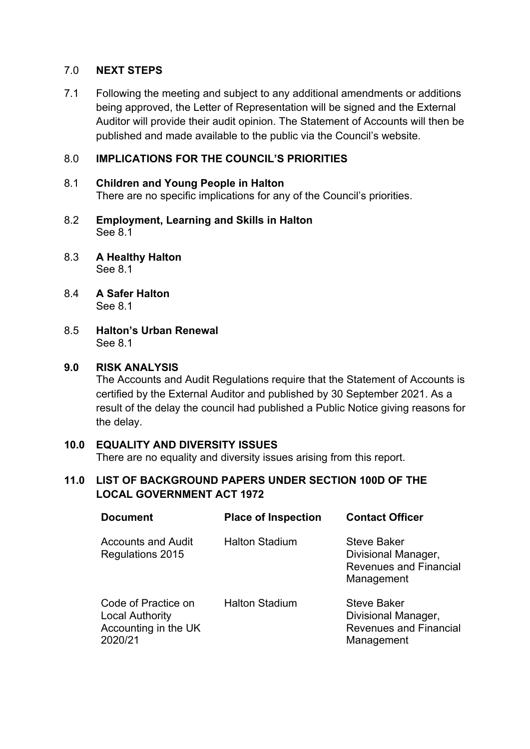### 7.0 **NEXT STEPS**

7.1 Following the meeting and subject to any additional amendments or additions being approved, the Letter of Representation will be signed and the External Auditor will provide their audit opinion. The Statement of Accounts will then be published and made available to the public via the Council's website.

### 8.0 **IMPLICATIONS FOR THE COUNCIL'S PRIORITIES**

#### 8.1 **Children and Young People in Halton**

There are no specific implications for any of the Council's priorities.

- 8.2 **Employment, Learning and Skills in Halton** See 8.1
- 8.3 **A Healthy Halton** See 8.1
- 8.4 **A Safer Halton** See 8.1
- 8.5 **Halton's Urban Renewal** See 8.1

#### **9.0 RISK ANALYSIS**

The Accounts and Audit Regulations require that the Statement of Accounts is certified by the External Auditor and published by 30 September 2021. As a result of the delay the council had published a Public Notice giving reasons for the delay.

### **10.0 EQUALITY AND DIVERSITY ISSUES**

There are no equality and diversity issues arising from this report.

### **11.0 LIST OF BACKGROUND PAPERS UNDER SECTION 100D OF THE LOCAL GOVERNMENT ACT 1972**

| <b>Document</b>                                                                  | <b>Place of Inspection</b> | <b>Contact Officer</b>                                                                   |
|----------------------------------------------------------------------------------|----------------------------|------------------------------------------------------------------------------------------|
| <b>Accounts and Audit</b><br>Regulations 2015                                    | <b>Halton Stadium</b>      | <b>Steve Baker</b><br>Divisional Manager,<br><b>Revenues and Financial</b><br>Management |
| Code of Practice on<br><b>Local Authority</b><br>Accounting in the UK<br>2020/21 | <b>Halton Stadium</b>      | <b>Steve Baker</b><br>Divisional Manager,<br><b>Revenues and Financial</b><br>Management |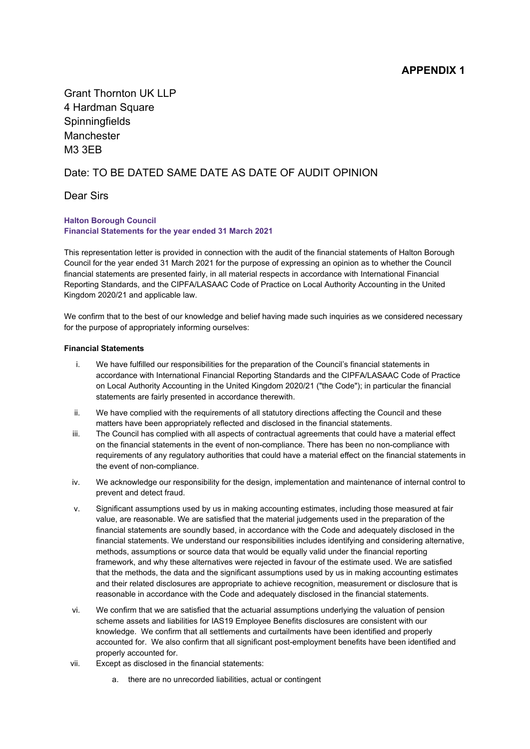Grant Thornton UK LLP 4 Hardman Square **Spinningfields** Manchester M3 3EB

#### Date: TO BE DATED SAME DATE AS DATE OF AUDIT OPINION

Dear Sirs

#### **Halton Borough Council Financial Statements for the year ended 31 March 2021**

This representation letter is provided in connection with the audit of the financial statements of Halton Borough Council for the year ended 31 March 2021 for the purpose of expressing an opinion as to whether the Council financial statements are presented fairly, in all material respects in accordance with International Financial Reporting Standards, and the CIPFA/LASAAC Code of Practice on Local Authority Accounting in the United Kingdom 2020/21 and applicable law.

We confirm that to the best of our knowledge and belief having made such inquiries as we considered necessary for the purpose of appropriately informing ourselves:

#### **Financial Statements**

- i. We have fulfilled our responsibilities for the preparation of the Council's financial statements in accordance with International Financial Reporting Standards and the CIPFA/LASAAC Code of Practice on Local Authority Accounting in the United Kingdom 2020/21 ("the Code"); in particular the financial statements are fairly presented in accordance therewith.
- ii. We have complied with the requirements of all statutory directions affecting the Council and these matters have been appropriately reflected and disclosed in the financial statements.
- iii. The Council has complied with all aspects of contractual agreements that could have a material effect on the financial statements in the event of non-compliance. There has been no non-compliance with requirements of any regulatory authorities that could have a material effect on the financial statements in the event of non-compliance.
- iv. We acknowledge our responsibility for the design, implementation and maintenance of internal control to prevent and detect fraud.
- v. Significant assumptions used by us in making accounting estimates, including those measured at fair value, are reasonable. We are satisfied that the material judgements used in the preparation of the financial statements are soundly based, in accordance with the Code and adequately disclosed in the financial statements. We understand our responsibilities includes identifying and considering alternative, methods, assumptions or source data that would be equally valid under the financial reporting framework, and why these alternatives were rejected in favour of the estimate used. We are satisfied that the methods, the data and the significant assumptions used by us in making accounting estimates and their related disclosures are appropriate to achieve recognition, measurement or disclosure that is reasonable in accordance with the Code and adequately disclosed in the financial statements.
- vi. We confirm that we are satisfied that the actuarial assumptions underlying the valuation of pension scheme assets and liabilities for IAS19 Employee Benefits disclosures are consistent with our knowledge. We confirm that all settlements and curtailments have been identified and properly accounted for. We also confirm that all significant post-employment benefits have been identified and properly accounted for.
- vii. Except as disclosed in the financial statements:
	- a. there are no unrecorded liabilities, actual or contingent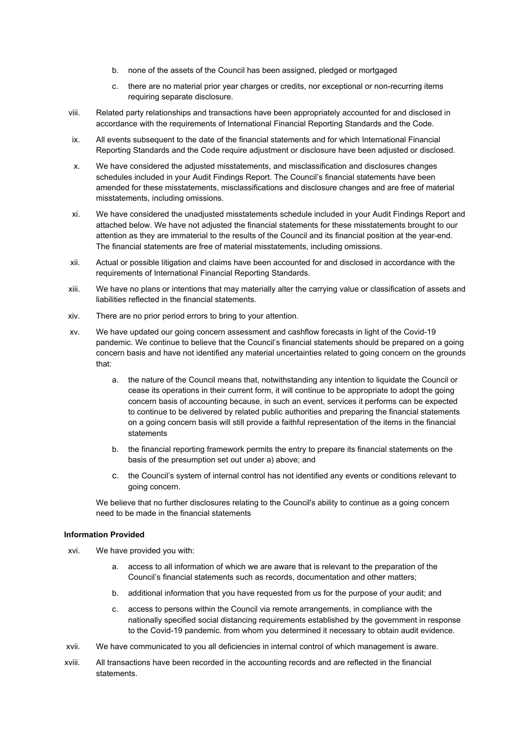- b. none of the assets of the Council has been assigned, pledged or mortgaged
- c. there are no material prior year charges or credits, nor exceptional or non-recurring items requiring separate disclosure.
- viii. Related party relationships and transactions have been appropriately accounted for and disclosed in accordance with the requirements of International Financial Reporting Standards and the Code.
- ix. All events subsequent to the date of the financial statements and for which International Financial Reporting Standards and the Code require adjustment or disclosure have been adjusted or disclosed.
- x. We have considered the adjusted misstatements, and misclassification and disclosures changes schedules included in your Audit Findings Report. The Council's financial statements have been amended for these misstatements, misclassifications and disclosure changes and are free of material misstatements, including omissions.
- xi. We have considered the unadjusted misstatements schedule included in your Audit Findings Report and attached below. We have not adjusted the financial statements for these misstatements brought to our attention as they are immaterial to the results of the Council and its financial position at the year-end. The financial statements are free of material misstatements, including omissions.
- xii. Actual or possible litigation and claims have been accounted for and disclosed in accordance with the requirements of International Financial Reporting Standards.
- xiii. We have no plans or intentions that may materially alter the carrying value or classification of assets and liabilities reflected in the financial statements.
- xiv. There are no prior period errors to bring to your attention.
- xv. We have updated our going concern assessment and cashflow forecasts in light of the Covid-19 pandemic. We continue to believe that the Council's financial statements should be prepared on a going concern basis and have not identified any material uncertainties related to going concern on the grounds that:
	- a. the nature of the Council means that, notwithstanding any intention to liquidate the Council or cease its operations in their current form, it will continue to be appropriate to adopt the going concern basis of accounting because, in such an event, services it performs can be expected to continue to be delivered by related public authorities and preparing the financial statements on a going concern basis will still provide a faithful representation of the items in the financial statements
	- b. the financial reporting framework permits the entry to prepare its financial statements on the basis of the presumption set out under a) above; and
	- c. the Council's system of internal control has not identified any events or conditions relevant to going concern.

We believe that no further disclosures relating to the Council's ability to continue as a going concern need to be made in the financial statements

#### **Information Provided**

- xvi. We have provided you with:
	- a. access to all information of which we are aware that is relevant to the preparation of the Council's financial statements such as records, documentation and other matters;
	- b. additional information that you have requested from us for the purpose of your audit; and
	- c. access to persons within the Council via remote arrangements, in compliance with the nationally specified social distancing requirements established by the government in response to the Covid-19 pandemic. from whom you determined it necessary to obtain audit evidence.
- xvii. We have communicated to you all deficiencies in internal control of which management is aware.
- xviii. All transactions have been recorded in the accounting records and are reflected in the financial statements.